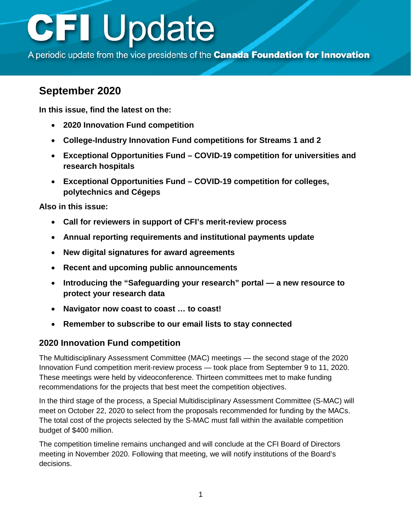A periodic update from the vice presidents of the Canada Foundation for Innovation

## **September 2020**

**In this issue, find the latest on the:**

- **2020 Innovation Fund competition**
- **[College-Industry Innovation Fund](#page-1-0) competitions for Streams 1 and 2**
- **[Exceptional Opportunities Fund COVID-19 competition for universities and](#page-2-0) research hospitals**
- **[Exceptional Opportunities Fund COVID-19 competition for colleges,](#page-2-0) polytechnics and Cégeps**

**Also in this issue:**

- **[Call for reviewers in support of CFI's merit-review process](#page-2-0)**
- **[Annual reporting requirements and institutional payments](#page-2-0) update**
- **[New digital signatures](#page-3-0) for award agreements**
- **[Recent and upcoming public announcements](#page-3-0)**
- **[Introducing the "Safeguarding your research" portal a new resource](#page-3-0) to protect your research data**
- **[Navigator now coast to coast … to coast!](#page-3-0)**
- **[Remember to subscribe to our email lists to stay connected](#page-4-0)**

### **2020 Innovation Fund competition**

The Multidisciplinary Assessment Committee (MAC) meetings — the second stage of the 2020 Innovation Fund competition merit-review process — took place from September 9 to 11, 2020. These meetings were held by videoconference. Thirteen committees met to make funding recommendations for the projects that best meet the competition objectives.

In the third stage of the process, a Special Multidisciplinary Assessment Committee (S-MAC) will meet on October 22, 2020 to select from the proposals recommended for funding by the MACs. The total cost of the projects selected by the S-MAC must fall within the available competition budget of \$400 million.

The competition timeline remains unchanged and will conclude at the CFI Board of Directors meeting in November 2020. Following that meeting, we will notify institutions of the Board's decisions.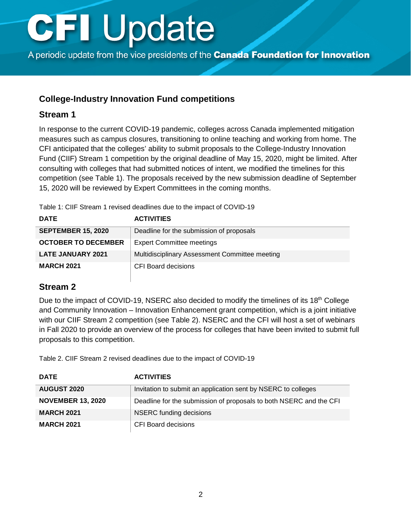<span id="page-1-0"></span>A periodic update from the vice presidents of the Canada Foundation for Innovation

### **College-Industry Innovation Fund competitions**

#### **Stream 1**

In response to the current COVID-19 pandemic, colleges across Canada implemented mitigation measures such as campus closures, transitioning to online teaching and working from home. The CFI anticipated that the colleges' ability to submit proposals to the College-Industry Innovation Fund (CIIF) Stream 1 competition by the original deadline of May 15, 2020, might be limited. After consulting with colleges that had submitted notices of intent, we modified the timelines for this competition (see Table 1). The proposals received by the new submission deadline of September 15, 2020 will be reviewed by Expert Committees in the coming months.

Table 1: CIIF Stream 1 revised deadlines due to the impact of COVID-19

| <b>DATE</b>                | <b>ACTIVITIES</b>                              |
|----------------------------|------------------------------------------------|
| <b>SEPTEMBER 15, 2020</b>  | Deadline for the submission of proposals       |
| <b>OCTOBER TO DECEMBER</b> | <b>Expert Committee meetings</b>               |
| <b>LATE JANUARY 2021</b>   | Multidisciplinary Assessment Committee meeting |
| <b>MARCH 2021</b>          | <b>CFI Board decisions</b>                     |

#### **Stream 2**

Due to the impact of COVID-19, NSERC also decided to modify the timelines of its 18<sup>th</sup> College and Community Innovation – Innovation Enhancement grant competition, which is a joint initiative with our CIIF Stream 2 competition (see Table 2). NSERC and the CFI will host a set of webinars in Fall 2020 to provide an overview of the process for colleges that have been invited to submit full proposals to this competition.

Table 2. CIIF Stream 2 revised deadlines due to the impact of COVID-19

| <b>DATE</b>              | <b>ACTIVITIES</b>                                                  |
|--------------------------|--------------------------------------------------------------------|
| <b>AUGUST 2020</b>       | Invitation to submit an application sent by NSERC to colleges      |
| <b>NOVEMBER 13, 2020</b> | Deadline for the submission of proposals to both NSERC and the CFI |
| <b>MARCH 2021</b>        | NSERC funding decisions                                            |
| <b>MARCH 2021</b>        | CFI Board decisions                                                |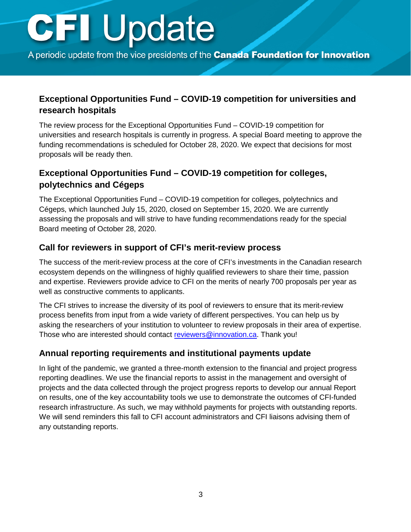<span id="page-2-0"></span>A periodic update from the vice presidents of the **Canada Foundation for Innovation** 

### **Exceptional Opportunities Fund – COVID-19 competition for universities and research hospitals**

The review process for the Exceptional Opportunities Fund – COVID-19 competition for universities and research hospitals is currently in progress. A special Board meeting to approve the funding recommendations is scheduled for October 28, 2020. We expect that decisions for most proposals will be ready then.

### **Exceptional Opportunities Fund – COVID-19 competition for colleges, polytechnics and Cégeps**

The Exceptional Opportunities Fund – COVID-19 competition for colleges, polytechnics and Cégeps, which launched July 15, 2020, closed on September 15, 2020. We are currently assessing the proposals and will strive to have funding recommendations ready for the special Board meeting of October 28, 2020.

#### **Call for reviewers in support of CFI's merit-review process**

The success of the merit-review process at the core of CFI's investments in the Canadian research ecosystem depends on the willingness of highly qualified reviewers to share their time, passion and expertise. Reviewers provide advice to CFI on the merits of nearly 700 proposals per year as well as constructive comments to applicants.

The CFI strives to increase the diversity of its pool of reviewers to ensure that its merit-review process benefits from input from a wide variety of different perspectives. You can help us by asking the researchers of your institution to volunteer to review proposals in their area of expertise. Those who are interested should contact [reviewers@innovation.ca.](mailto:reviewers@innovation.ca) Thank you!

#### **Annual reporting requirements and institutional payments update**

In light of the pandemic, we granted a three-month extension to the financial and project progress reporting deadlines. We use the financial reports to assist in the management and oversight of projects and the data collected through the project progress reports to develop our annual Report on results, one of the key accountability tools we use to demonstrate the outcomes of CFI-funded research infrastructure. As such, we may withhold payments for projects with outstanding reports. We will send reminders this fall to CFI account administrators and CFI liaisons advising them of any outstanding reports.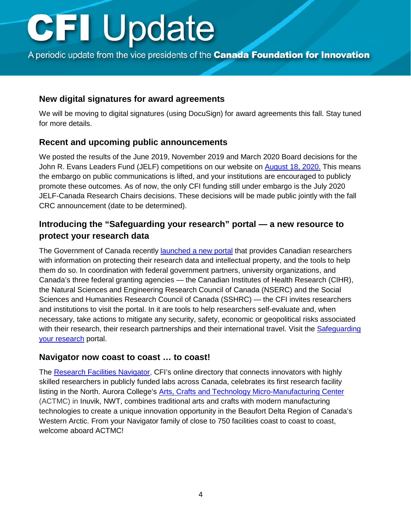<span id="page-3-0"></span>A periodic update from the vice presidents of the **Canada Foundation for Innovation** 

#### **New digital signatures for award agreements**

We will be moving to digital signatures (using DocuSign) for award agreements this fall. Stay tuned for more details.

#### **Recent and upcoming public announcements**

We posted the results of the June 2019, November 2019 and March 2020 Board decisions for the John R. Evans Leaders Fund (JELF) competitions on our website on [August 18, 2020.](https://www.innovation.ca/about/press-release/canadas-top-researchers-have-tools-they-need-stay-ahead) This means the embargo on public communications is lifted, and your institutions are encouraged to publicly promote these outcomes. As of now, the only CFI funding still under embargo is the July 2020 JELF-Canada Research Chairs decisions. These decisions will be made public jointly with the fall CRC announcement (date to be determined).

### **Introducing the "Safeguarding your research" portal — a new resource to protect your research data**

The Government of Canada recently launched [a new portal](https://www.innovation.ca/about/press-release/introducing-safeguarding-your-research-portal) that provides Canadian researchers with information on protecting their research data and intellectual property, and the tools to help them do so. In coordination with federal government partners, university organizations, and Canada's three federal granting agencies — the Canadian Institutes of Health Research (CIHR), the Natural Sciences and Engineering Research Council of Canada (NSERC) and the Social Sciences and Humanities Research Council of Canada (SSHRC) — the CFI invites researchers and institutions to visit the portal. In it are tools to help researchers self-evaluate and, when necessary, take actions to mitigate any security, safety, economic or geopolitical risks associated with their research, their research partnerships and their international travel. Visit the Safeguarding [your research](http://science.gc.ca/eic/site/063.nsf/eng/h_97955.html) portal.

#### **Navigator now coast to coast … to coast!**

The [Research Facilities Navigator,](https://navigator.innovation.ca/en) CFI's online directory that connects innovators with highly skilled researchers in publicly funded labs across Canada, celebrates its first research facility listing in the North. Aurora College's [Arts, Crafts and Technology Micro-Manufacturing Center](https://navigator.innovation.ca/en/facility/aurora-college/arts-crafts-and-technology-micro-manufacturing-center-actmc) (ACTMC) in Inuvik, NWT, combines traditional arts and crafts with modern manufacturing technologies to create a unique innovation opportunity in the Beaufort Delta Region of Canada's Western Arctic. From your Navigator family of close to 750 facilities coast to coast to coast, welcome aboard ACTMC!